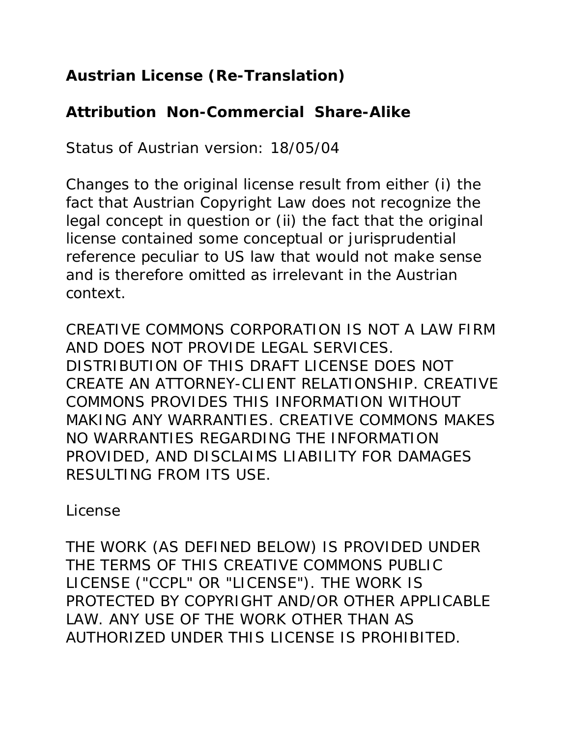### **Austrian License (Re-Translation)**

#### **Attribution Non-Commercial Share-Alike**

*Status of Austrian version: 18/05/04*

*Changes to the original license result from either (i) the fact that Austrian Copyright Law does not recognize the legal concept in question or (ii) the fact that the original license contained some conceptual or jurisprudential reference peculiar to US law that would not make sense and is therefore omitted as irrelevant in the Austrian context.*

CREATIVE COMMONS CORPORATION IS NOT A LAW FIRM AND DOES NOT PROVIDE LEGAL SERVICES. DISTRIBUTION OF THIS DRAFT LICENSE DOES NOT CREATE AN ATTORNEY-CLIENT RELATIONSHIP. CREATIVE COMMONS PROVIDES THIS INFORMATION WITHOUT MAKING ANY WARRANTIES. CREATIVE COMMONS MAKES NO WARRANTIES REGARDING THE INFORMATION PROVIDED, AND DISCLAIMS LIABILITY FOR DAMAGES RESULTING FROM ITS USE.

*License*

THE WORK (AS DEFINED BELOW) IS PROVIDED UNDER THE TERMS OF THIS CREATIVE COMMONS PUBLIC LICENSE ("CCPL" OR "LICENSE"). THE WORK IS PROTECTED BY COPYRIGHT AND/OR OTHER APPLICABLE LAW. ANY USE OF THE WORK OTHER THAN AS AUTHORIZED UNDER THIS LICENSE IS PROHIBITED.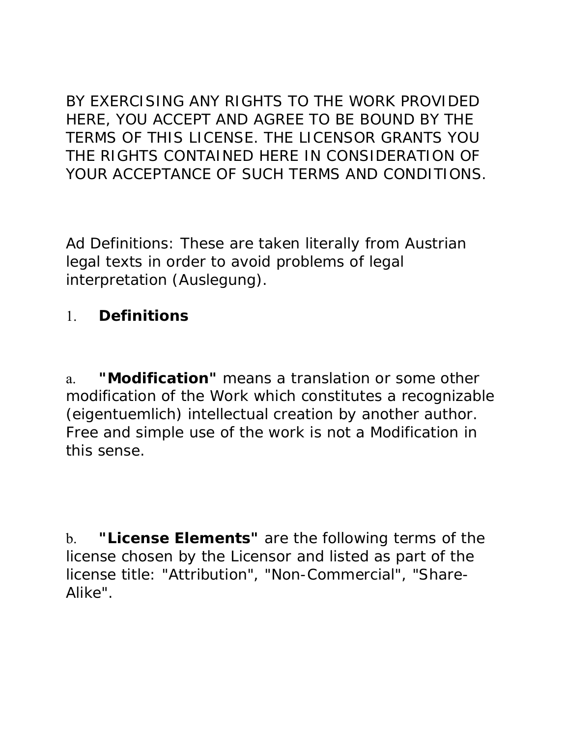BY EXERCISING ANY RIGHTS TO THE WORK PROVIDED HERE, YOU ACCEPT AND AGREE TO BE BOUND BY THE TERMS OF THIS LICENSE. THE LICENSOR GRANTS YOU THE RIGHTS CONTAINED HERE IN CONSIDERATION OF YOUR ACCEPTANCE OF SUCH TERMS AND CONDITIONS.

*Ad Definitions: These are taken literally from Austrian legal texts in order to avoid problems of legal interpretation (Auslegung).*

#### 1. **Definitions**

a. **"Modification"** means a translation or some other modification of the Work which constitutes a recognizable *(eigentuemlich)* intellectual creation by another author. Free and simple use of the work is not a Modification in this sense.

b. **"License Elements"** are the following terms of the license chosen by the Licensor and listed as part of the license title: "Attribution", "Non-Commercial", "Share-Alike".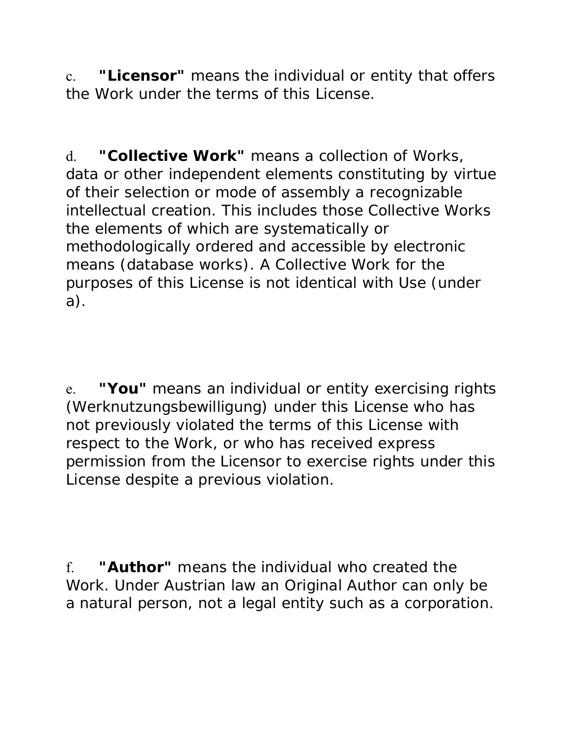c. **"Licensor"** means the individual or entity that offers the Work under the terms of this License.

d. **"Collective Work"** means a collection of Works, data or other independent elements constituting by virtue of their selection or mode of assembly a recognizable intellectual creation. This includes those Collective Works the elements of which are systematically or methodologically ordered and accessible by electronic means (database works). A Collective Work for the purposes of this License is not identical with Use (under a).

e. **"You"** means an individual or entity exercising rights *(Werknutzungsbewilligung)* under this License who has not previously violated the terms of this License with respect to the Work, or who has received express permission from the Licensor to exercise rights under this License despite a previous violation.

f. **"Author"** means the individual who created the Work. *Under Austrian law an Original Author can only be a natural person, not a legal entity such as a corporation.*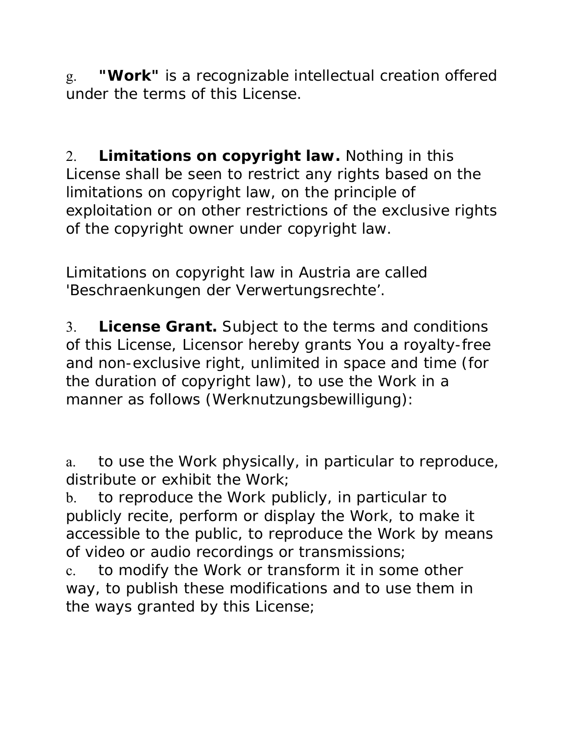g. **"Work"** is a recognizable intellectual creation offered under the terms of this License.

2. **Limitations on copyright law.** Nothing in this License shall be seen to restrict any rights based on the limitations on copyright law, on the principle of exploitation or on other restrictions of the exclusive rights of the copyright owner under copyright law.

*Limitations on copyright law in Austria are called 'Beschraenkungen der Verwertungsrechte'.*

3. **License Grant.** Subject to the terms and conditions of this License, Licensor hereby grants You a royalty-free and non-exclusive right, unlimited in space and time (for the duration of copyright law), to use the Work in a manner as follows (*Werknutzungsbewilligung*):

a. to use the Work physically, in particular to reproduce, distribute or exhibit the Work;

b. to reproduce the Work publicly, in particular to publicly recite, perform or display the Work, to make it accessible to the public, to reproduce the Work by means of video or audio recordings or transmissions;

c. to modify the Work or transform it in some other way, to publish these modifications and to use them in the ways granted by this License;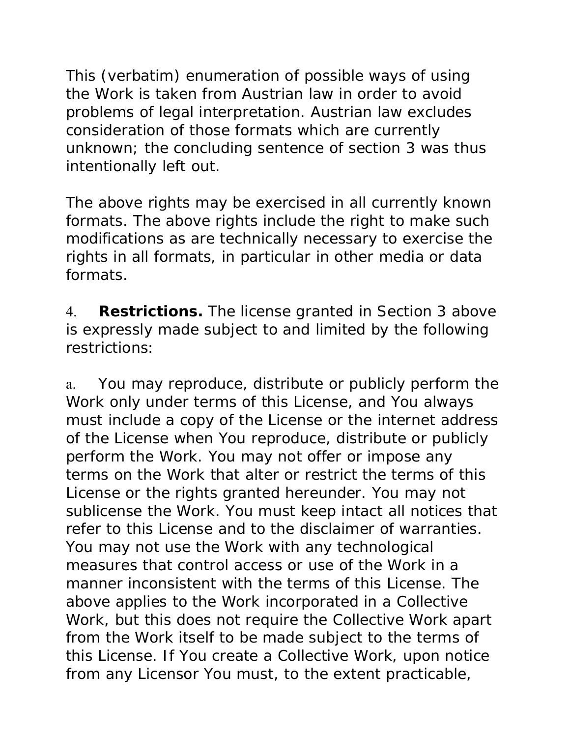*This (verbatim) enumeration of possible ways of using the Work is taken from Austrian law in order to avoid problems of legal interpretation. Austrian law excludes consideration of those formats which are currently unknown; the concluding sentence of section 3 was thus intentionally left out.*

The above rights may be exercised in all currently known formats. The above rights include the right to make such modifications as are technically necessary to exercise the rights in all formats, in particular in other media or data formats.

4. **Restrictions.** The license granted in Section 3 above is expressly made subject to and limited by the following restrictions:

a. You may reproduce, distribute or publicly perform the Work only under terms of this License, and You always must include a copy of the License or the internet address of the License when You reproduce, distribute or publicly perform the Work. You may not offer or impose any terms on the Work that alter or restrict the terms of this License or the rights granted hereunder. You may not sublicense the Work. You must keep intact all notices that refer to this License and to the disclaimer of warranties. You may not use the Work with any technological measures that control access or use of the Work in a manner inconsistent with the terms of this License. The above applies to the Work incorporated in a Collective Work, but this does not require the Collective Work apart from the Work itself to be made subject to the terms of this License. If You create a Collective Work, upon notice from any Licensor You must, to the extent practicable,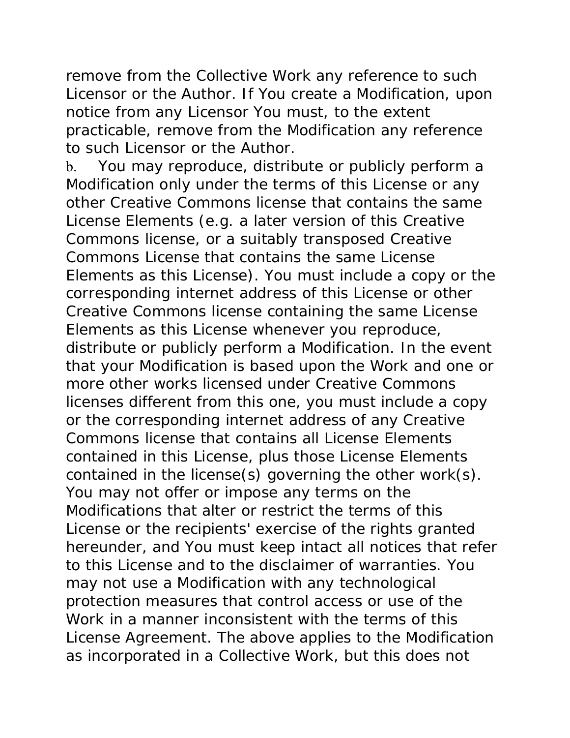remove from the Collective Work any reference to such Licensor or the Author. If You create a Modification, upon notice from any Licensor You must, to the extent practicable, remove from the Modification any reference to such Licensor or the Author.

b. You may reproduce, distribute or publicly perform a Modification only under the terms of this License or any other Creative Commons license that contains the same License Elements (e.g. a later version of this Creative Commons license, or a suitably transposed Creative Commons License that contains the same License Elements as this License). You must include a copy or the corresponding internet address of this License or other Creative Commons license containing the same License Elements as this License whenever you reproduce, distribute or publicly perform a Modification. In the event that your Modification is based upon the Work and one or more other works licensed under Creative Commons licenses different from this one, you must include a copy or the corresponding internet address of any Creative Commons license that contains all License Elements contained in this License, plus those License Elements contained in the license(s) governing the other work(s). You may not offer or impose any terms on the Modifications that alter or restrict the terms of this License or the recipients' exercise of the rights granted hereunder, and You must keep intact all notices that refer to this License and to the disclaimer of warranties. You may not use a Modification with any technological protection measures that control access or use of the Work in a manner inconsistent with the terms of this License Agreement. The above applies to the Modification as incorporated in a Collective Work, but this does not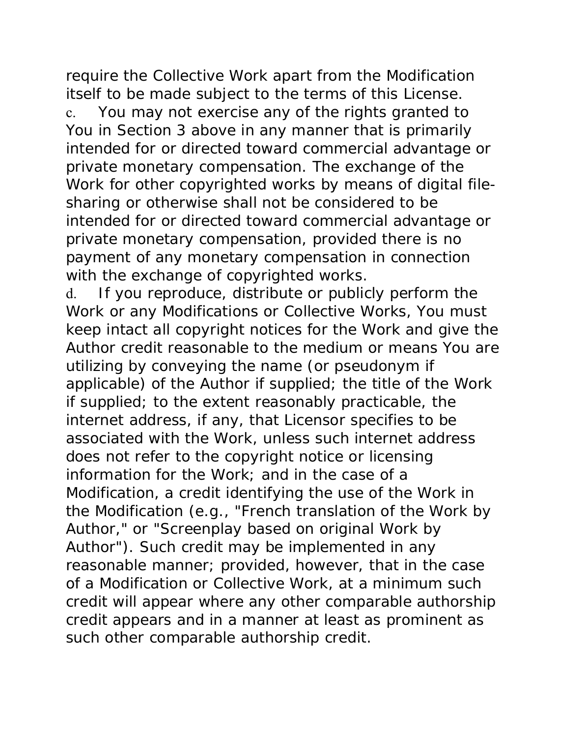require the Collective Work apart from the Modification itself to be made subject to the terms of this License. c. You may not exercise any of the rights granted to You in Section 3 above in any manner that is primarily intended for or directed toward commercial advantage or private monetary compensation. The exchange of the Work for other copyrighted works by means of digital filesharing or otherwise shall not be considered to be intended for or directed toward commercial advantage or private monetary compensation, provided there is no payment of any monetary compensation in connection with the exchange of copyrighted works.

d. If you reproduce, distribute or publicly perform the Work or any Modifications or Collective Works, You must keep intact all copyright notices for the Work and give the Author credit reasonable to the medium or means You are utilizing by conveying the name (or pseudonym if applicable) of the Author if supplied; the title of the Work if supplied; to the extent reasonably practicable, the internet address, if any, that Licensor specifies to be associated with the Work, unless such internet address does not refer to the copyright notice or licensing information for the Work; and in the case of a Modification, a credit identifying the use of the Work in the Modification (e.g., "French translation of the Work by Author," or "Screenplay based on original Work by Author"). Such credit may be implemented in any reasonable manner; provided, however, that in the case of a Modification or Collective Work, at a minimum such credit will appear where any other comparable authorship credit appears and in a manner at least as prominent as such other comparable authorship credit.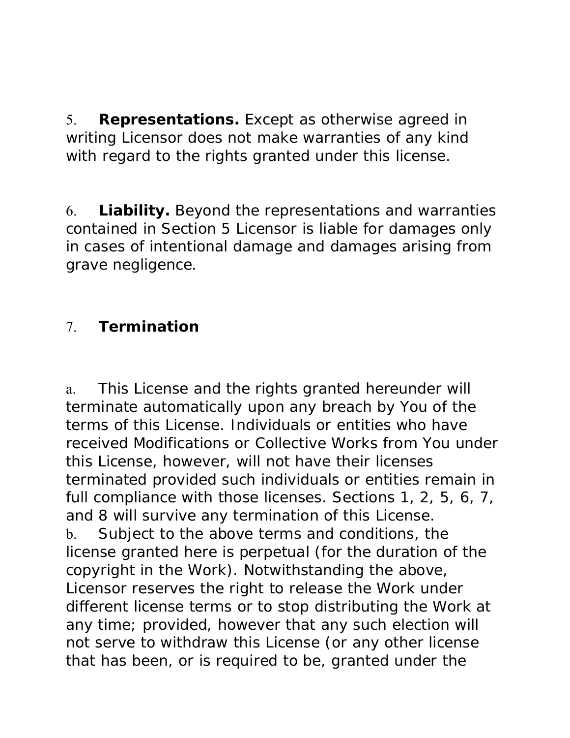5. **Representations.** Except as otherwise agreed in writing Licensor does not make warranties of any kind with regard to the rights granted under this license.

6. **Liability.** Beyond the representations and warranties contained in Section 5 Licensor is liable for damages only in cases of intentional damage and damages arising from grave negligence.

## 7. **Termination**

a. This License and the rights granted hereunder will terminate automatically upon any breach by You of the terms of this License. Individuals or entities who have received Modifications or Collective Works from You under this License, however, will not have their licenses terminated provided such individuals or entities remain in full compliance with those licenses. Sections 1, 2, 5, 6, 7, and 8 will survive any termination of this License. b. Subject to the above terms and conditions, the license granted here is perpetual (for the duration of the copyright in the Work). Notwithstanding the above, Licensor reserves the right to release the Work under different license terms or to stop distributing the Work at any time; provided, however that any such election will not serve to withdraw this License (or any other license that has been, or is required to be, granted under the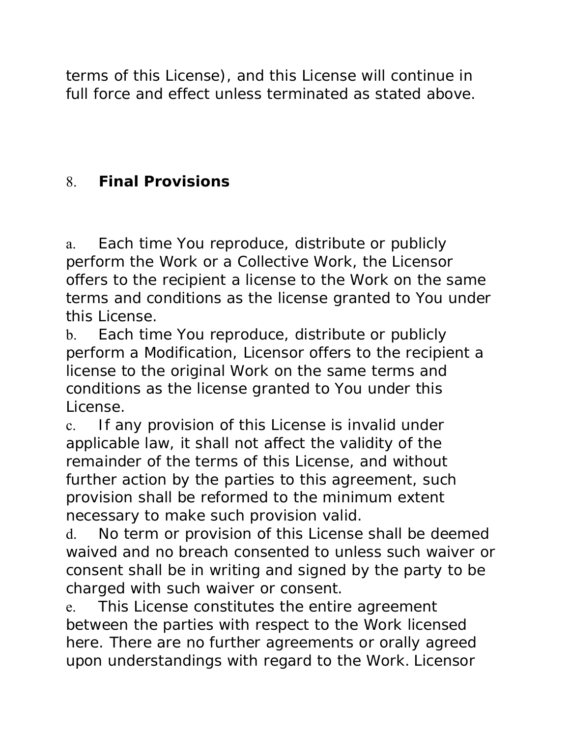terms of this License), and this License will continue in full force and effect unless terminated as stated above.

# 8. **Final Provisions**

a. Each time You reproduce, distribute or publicly perform the Work or a Collective Work, the Licensor offers to the recipient a license to the Work on the same terms and conditions as the license granted to You under this License.

b. Each time You reproduce, distribute or publicly perform a Modification, Licensor offers to the recipient a license to the original Work on the same terms and conditions as the license granted to You under this License.

c. If any provision of this License is invalid under applicable law, it shall not affect the validity of the remainder of the terms of this License, and without further action by the parties to this agreement, such provision shall be reformed to the minimum extent necessary to make such provision valid.

d. No term or provision of this License shall be deemed waived and no breach consented to unless such waiver or consent shall be in writing and signed by the party to be charged with such waiver or consent.

e. This License constitutes the entire agreement between the parties with respect to the Work licensed here. There are no further agreements or orally agreed upon understandings with regard to the Work. Licensor